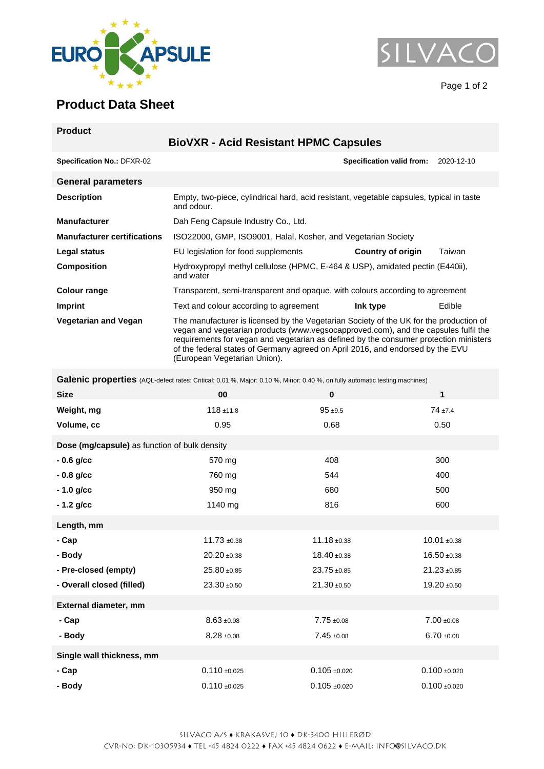



Page 1 of 2

## **Product Data Sheet**

| <b>Product</b>                     |                                                                                                                                                                                                                                                                                                                                                                                          |                                  |            |  |
|------------------------------------|------------------------------------------------------------------------------------------------------------------------------------------------------------------------------------------------------------------------------------------------------------------------------------------------------------------------------------------------------------------------------------------|----------------------------------|------------|--|
|                                    | <b>BioVXR - Acid Resistant HPMC Capsules</b>                                                                                                                                                                                                                                                                                                                                             |                                  |            |  |
| <b>Specification No.: DFXR-02</b>  |                                                                                                                                                                                                                                                                                                                                                                                          | <b>Specification valid from:</b> | 2020-12-10 |  |
| <b>General parameters</b>          |                                                                                                                                                                                                                                                                                                                                                                                          |                                  |            |  |
| <b>Description</b>                 | Empty, two-piece, cylindrical hard, acid resistant, vegetable capsules, typical in taste<br>and odour.                                                                                                                                                                                                                                                                                   |                                  |            |  |
| <b>Manufacturer</b>                | Dah Feng Capsule Industry Co., Ltd.                                                                                                                                                                                                                                                                                                                                                      |                                  |            |  |
| <b>Manufacturer certifications</b> | ISO22000, GMP, ISO9001, Halal, Kosher, and Vegetarian Society                                                                                                                                                                                                                                                                                                                            |                                  |            |  |
| Legal status                       | EU legislation for food supplements                                                                                                                                                                                                                                                                                                                                                      | Country of origin                | Taiwan     |  |
| <b>Composition</b>                 | Hydroxypropyl methyl cellulose (HPMC, E-464 & USP), amidated pectin (E440ii),<br>and water                                                                                                                                                                                                                                                                                               |                                  |            |  |
| Colour range                       | Transparent, semi-transparent and opaque, with colours according to agreement                                                                                                                                                                                                                                                                                                            |                                  |            |  |
| <b>Imprint</b>                     | Text and colour according to agreement                                                                                                                                                                                                                                                                                                                                                   | Ink type                         | Edible     |  |
| <b>Vegetarian and Vegan</b>        | The manufacturer is licensed by the Vegetarian Society of the UK for the production of<br>vegan and vegetarian products (www.vegsocapproved.com), and the capsules fulfil the<br>requirements for vegan and vegetarian as defined by the consumer protection ministers<br>of the federal states of Germany agreed on April 2016, and endorsed by the EVU<br>(European Vegetarian Union). |                                  |            |  |

**Galenic properties** (AQL-defect rates: Critical: 0.01 %, Major: 0.10 %, Minor: 0.40 %, on fully automatic testing machines)

|                                               |                 | $\bullet$ procession ratio. Onlinear, 0.01 70, major, 0.10 70, million, 0.10 70, 011 large adiomatic tooling machineory |                  |  |  |  |
|-----------------------------------------------|-----------------|-------------------------------------------------------------------------------------------------------------------------|------------------|--|--|--|
| <b>Size</b>                                   | 00              | $\bf{0}$                                                                                                                | 1                |  |  |  |
| Weight, mg                                    | $118 + 11.8$    | $95 + 9.5$                                                                                                              | $74 + 7.4$       |  |  |  |
| Volume, cc                                    | 0.95            | 0.68                                                                                                                    | 0.50             |  |  |  |
| Dose (mg/capsule) as function of bulk density |                 |                                                                                                                         |                  |  |  |  |
| $-0.6$ g/cc                                   | 570 mg          | 408                                                                                                                     | 300              |  |  |  |
| $-0.8$ g/cc                                   | 760 mg          | 544                                                                                                                     | 400              |  |  |  |
| $-1.0$ g/cc                                   | 950 mg          | 680                                                                                                                     | 500              |  |  |  |
| $-1.2$ g/cc                                   | 1140 mg         | 816                                                                                                                     | 600              |  |  |  |
| Length, mm                                    |                 |                                                                                                                         |                  |  |  |  |
| - Cap                                         | $11.73 + 0.38$  | $11.18 \pm 0.38$                                                                                                        | $10.01 + 0.38$   |  |  |  |
| - Body                                        | $20.20 + 0.38$  | $18.40 \pm 0.38$                                                                                                        | $16.50 + 0.38$   |  |  |  |
| - Pre-closed (empty)                          | $25.80 + 0.85$  | 23.75 ±0.85                                                                                                             | $21.23 \pm 0.85$ |  |  |  |
| - Overall closed (filled)                     | $23.30 + 0.50$  | $21.30 + 0.50$                                                                                                          | $19.20 + 0.50$   |  |  |  |
| External diameter, mm                         |                 |                                                                                                                         |                  |  |  |  |
| - Cap                                         | $8.63 + 0.08$   | $7.75 + 0.08$                                                                                                           | $7.00 + 0.08$    |  |  |  |
| - Body                                        | $8.28 + 0.08$   | $7.45 \pm 0.08$                                                                                                         | $6.70 + 0.08$    |  |  |  |
| Single wall thickness, mm                     |                 |                                                                                                                         |                  |  |  |  |
| - Cap                                         | $0.110 + 0.025$ | $0.105 + 0.020$                                                                                                         | $0.100 + 0.020$  |  |  |  |
| - Body                                        | $0.110 + 0.025$ | $0.105 + 0.020$                                                                                                         | $0.100 + 0.020$  |  |  |  |